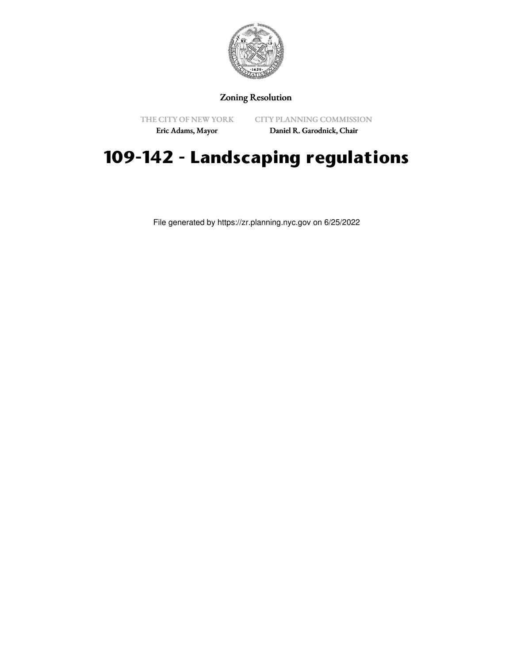

## Zoning Resolution

THE CITY OF NEW YORK

CITY PLANNING COMMISSION

Eric Adams, Mayor

Daniel R. Garodnick, Chair

## **109-142 - Landscaping regulations**

File generated by https://zr.planning.nyc.gov on 6/25/2022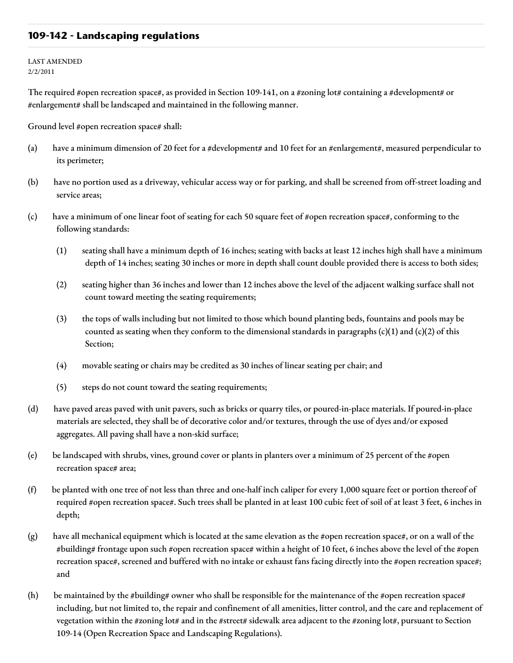## **109-142 - Landscaping regulations**

LAST AMENDED 2/2/2011

The required #open recreation space#, as provided in Section 109-141, on a #zoning lot# containing a #development# or #enlargement# shall be landscaped and maintained in the following manner.

Ground level #open recreation space# shall:

- (a) have a minimum dimension of 20 feet for a #development# and 10 feet for an #enlargement#, measured perpendicular to its perimeter;
- (b) have no portion used as a driveway, vehicular access way or for parking, and shall be screened from off-street loading and service areas;
- (c) have a minimum of one linear foot of seating for each 50 square feet of #open recreation space#, conforming to the following standards:
	- (1) seating shall have a minimum depth of 16 inches; seating with backs at least 12 inches high shall have a minimum depth of 14 inches; seating 30 inches or more in depth shall count double provided there is access to both sides;
	- (2) seating higher than 36 inches and lower than 12 inches above the level of the adjacent walking surface shall not count toward meeting the seating requirements;
	- (3) the tops of walls including but not limited to those which bound planting beds, fountains and pools may be counted as seating when they conform to the dimensional standards in paragraphs  $(c)(1)$  and  $(c)(2)$  of this Section;
	- (4) movable seating or chairs may be credited as 30 inches of linear seating per chair; and
	- (5) steps do not count toward the seating requirements;
- (d) have paved areas paved with unit pavers, such as bricks or quarry tiles, or poured-in-place materials. If poured-in-place materials are selected, they shall be of decorative color and/or textures, through the use of dyes and/or exposed aggregates. All paving shall have a non-skid surface;
- (e) be landscaped with shrubs, vines, ground cover or plants in planters over a minimum of 25 percent of the #open recreation space# area;
- (f) be planted with one tree of not less than three and one-half inch caliper for every 1,000 square feet or portion thereof of required #open recreation space#. Such trees shall be planted in at least 100 cubic feet of soil of at least 3 feet, 6 inches in depth;
- (g) have all mechanical equipment which is located at the same elevation as the #open recreation space#, or on a wall of the #building# frontage upon such #open recreation space# within a height of 10 feet, 6 inches above the level of the #open recreation space#, screened and buffered with no intake or exhaust fans facing directly into the #open recreation space#; and
- (h) be maintained by the #building# owner who shall be responsible for the maintenance of the #open recreation space# including, but not limited to, the repair and confinement of all amenities, litter control, and the care and replacement of vegetation within the #zoning lot# and in the #street# sidewalk area adjacent to the #zoning lot#, pursuant to Section 109-14 (Open Recreation Space and Landscaping Regulations).